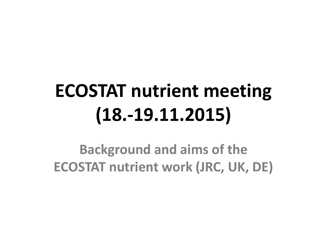**Background and aims of the ECOSTAT nutrient work (JRC, UK, DE)**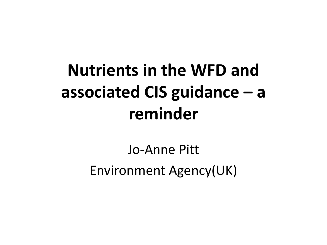## **Nutrients in the WFD and associated CIS guidance – a reminder**

Jo-Anne Pitt Environment Agency(UK)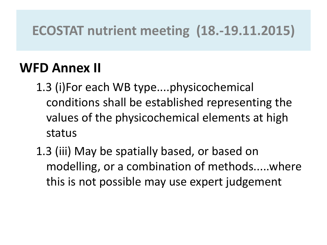#### **WFD Annex II**

- 1.3 (i)For each WB type....physicochemical conditions shall be established representing the values of the physicochemical elements at high status
- 1.3 (iii) May be spatially based, or based on modelling, or a combination of methods.....where this is not possible may use expert judgement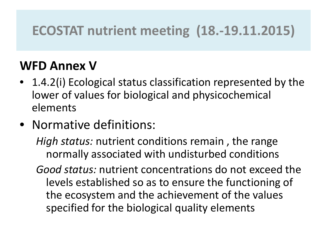#### **WFD Annex V**

- 1.4.2(i) Ecological status classification represented by the lower of values for biological and physicochemical elements
- Normative definitions:
	- *High status:* nutrient conditions remain , the range normally associated with undisturbed conditions
	- *Good status:* nutrient concentrations do not exceed the levels established so as to ensure the functioning of the ecosystem and the achievement of the values specified for the biological quality elements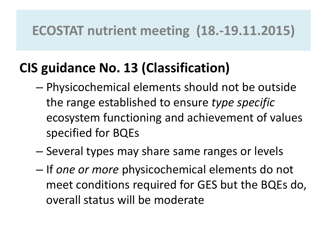## **CIS guidance No. 13 (Classification)**

- Physicochemical elements should not be outside the range established to ensure *type specific*  ecosystem functioning and achievement of values specified for BQEs
- Several types may share same ranges or levels
- If *one or more* physicochemical elements do not meet conditions required for GES but the BQEs do, overall status will be moderate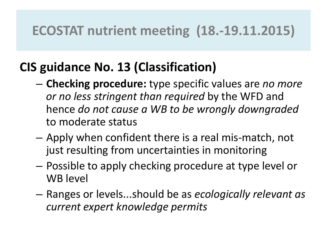#### **CIS guidance No. 13 (Classification)**

- **Checking procedure:** type specific values are *no more or no less stringent than required* by the WFD and hence *do not cause a WB to be wrongly downgraded*  to moderate status
- Apply when confident there is a real mis-match, not just resulting from uncertainties in monitoring
- Possible to apply checking procedure at type level or WB level
- Ranges or levels...should be as *ecologically relevant as current expert knowledge permits*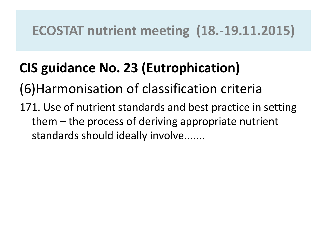## **CIS guidance No. 23 (Eutrophication)**

(6)Harmonisation of classification criteria

171. Use of nutrient standards and best practice in setting them – the process of deriving appropriate nutrient standards should ideally involve.......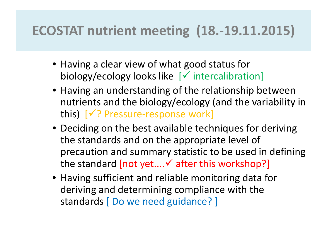- Having a clear view of what good status for biology/ecology looks like  $[\checkmark]$  intercalibration]
- Having an understanding of the relationship between nutrients and the biology/ecology (and the variability in this)  $[\sqrt{?}$  Pressure-response work]
- Deciding on the best available techniques for deriving the standards and on the appropriate level of precaution and summary statistic to be used in defining the standard  $[not yet....$  after this workshop?]
- Having sufficient and reliable monitoring data for deriving and determining compliance with the standards [ Do we need guidance? ]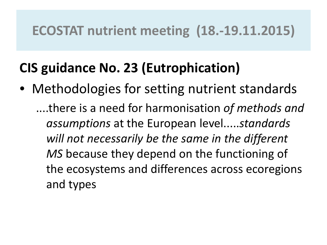## **CIS guidance No. 23 (Eutrophication)**

• Methodologies for setting nutrient standards ....there is a need for harmonisation *of methods and assumptions* at the European level.....*standards will not necessarily be the same in the different MS* because they depend on the functioning of the ecosystems and differences across ecoregions and types